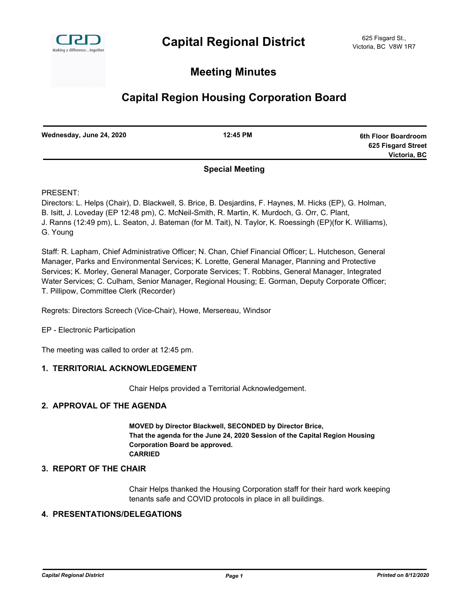

# **Meeting Minutes**

# **Capital Region Housing Corporation Board**

| Wednesday, June 24, 2020 | 12:45 PM | 6th Floor Boardroom |
|--------------------------|----------|---------------------|
|                          |          | 625 Fisgard Street  |
|                          |          | Victoria, BC        |
|                          |          |                     |

# **Special Meeting**

PRESENT:

Directors: L. Helps (Chair), D. Blackwell, S. Brice, B. Desjardins, F. Haynes, M. Hicks (EP), G. Holman, B. Isitt, J. Loveday (EP 12:48 pm), C. McNeil-Smith, R. Martin, K. Murdoch, G. Orr, C. Plant, J. Ranns (12:49 pm), L. Seaton, J. Bateman (for M. Tait), N. Taylor, K. Roessingh (EP)(for K. Williams), G. Young

Staff: R. Lapham, Chief Administrative Officer; N. Chan, Chief Financial Officer; L. Hutcheson, General Manager, Parks and Environmental Services; K. Lorette, General Manager, Planning and Protective Services; K. Morley, General Manager, Corporate Services; T. Robbins, General Manager, Integrated Water Services; C. Culham, Senior Manager, Regional Housing; E. Gorman, Deputy Corporate Officer; T. Pillipow, Committee Clerk (Recorder)

Regrets: Directors Screech (Vice-Chair), Howe, Mersereau, Windsor

EP - Electronic Participation

The meeting was called to order at 12:45 pm.

# **1. TERRITORIAL ACKNOWLEDGEMENT**

Chair Helps provided a Territorial Acknowledgement.

# **2. APPROVAL OF THE AGENDA**

**MOVED by Director Blackwell, SECONDED by Director Brice, That the agenda for the June 24, 2020 Session of the Capital Region Housing Corporation Board be approved. CARRIED**

# **3. REPORT OF THE CHAIR**

Chair Helps thanked the Housing Corporation staff for their hard work keeping tenants safe and COVID protocols in place in all buildings.

# **4. PRESENTATIONS/DELEGATIONS**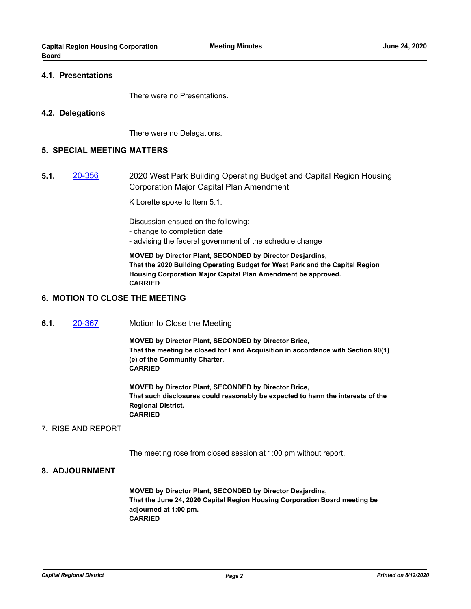#### **4.1. Presentations**

There were no Presentations.

#### **4.2. Delegations**

There were no Delegations.

#### **5. SPECIAL MEETING MATTERS**

**5.1.** [20-356](http://crd.ca.legistar.com/gateway.aspx?m=l&id=/matter.aspx?key=6490) 2020 West Park Building Operating Budget and Capital Region Housing Corporation Major Capital Plan Amendment

K Lorette spoke to Item 5.1.

Discussion ensued on the following:

- change to completion date
- advising the federal government of the schedule change

**MOVED by Director Plant, SECONDED by Director Desjardins, That the 2020 Building Operating Budget for West Park and the Capital Region Housing Corporation Major Capital Plan Amendment be approved. CARRIED**

### **6. MOTION TO CLOSE THE MEETING**

**6.1.** [20-367](http://crd.ca.legistar.com/gateway.aspx?m=l&id=/matter.aspx?key=6501) Motion to Close the Meeting

**MOVED by Director Plant, SECONDED by Director Brice, That the meeting be closed for Land Acquisition in accordance with Section 90(1) (e) of the Community Charter. CARRIED**

**MOVED by Director Plant, SECONDED by Director Brice, That such disclosures could reasonably be expected to harm the interests of the Regional District. CARRIED**

#### 7. RISE AND REPORT

The meeting rose from closed session at 1:00 pm without report.

#### **8. ADJOURNMENT**

**MOVED by Director Plant, SECONDED by Director Desjardins, That the June 24, 2020 Capital Region Housing Corporation Board meeting be adjourned at 1:00 pm. CARRIED**